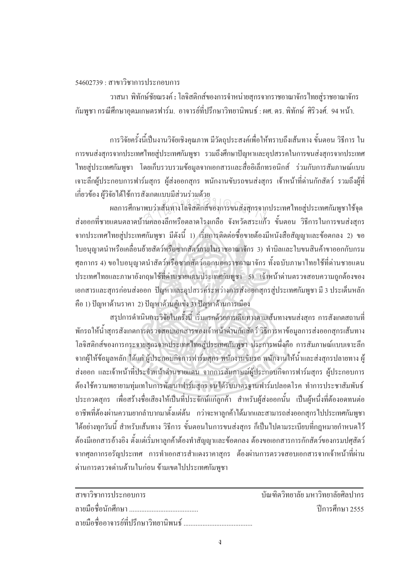## $54602739 \cdot \pi$ าขาวิชาการประกอบการ

<u>ิวาสนา พิทักษ์ชัยณรงค์ : โลจิสติกส์ของการจำหน่ายสกรจากราชอาณาจักร</u> ้กัมพูชา กรณีศึกษาอุคมเกษตรฟาร์ม. อาจารย์ที่ปรึกษาวิทยานิพนธ์ : ผศ. คร. พิทักษ์ ศิริวงศ์. 94 หน้า.

การวิจัยครั้งนี้เป็นงานวิจัยเชิงคุณภาพ มีวัตถุประสงค์เพื่อให้ทราบถึงเส้นทาง ขั้นตอน วิธีการ ใน ´Ê การขนส่งสกรจากประเทศไทยส่ประเทศกัมพชา รวมถึงศึกษาปัญหาและอปสรรคในการขนส่งสกรจากประเทศ ไทยสู่ประเทศกัมพูชา โดยเก็บรวบรวมข้อมูลจากเอกสารและสื่ออิเล็กทรอนิกส์ ร่วมกับการสัมภาษณ์แบบ เจาะลึกผ้ประกอบการฟาร์มสกร ผ้ส่งออกสกร พนักงานขับรถขนส่งสกร เจ้าหน้าที่ค่านกักสัตว์ รวมถึงผ้ที่ เกี่ยวข้อง ผู้วิจัยใด้ใช้การสังเกตแบบมีส่วนร่วมด้วย ∫

ผลการศึกษาพบว่าเส้นทางโลจิสติกส์ของการขนส่งสุกรจากประเทศไทยสู่ประเทศกัมพูชาใช้จุด ส่งออกที่ชายแดนตลาดบ้านคลองลึกหรือตลาดโรงเกลือ จังหวัดสระแก้ว ขั้นตอน วิธีการในการขนส่งสุกร ¸É จากประเทศไทยสู่ประเทศกัมพูชา มีดังนี้ 1) เริ่มการติดต่อซื้อขายต้องมีหนังสือสัญญาและข้อตกลง 2) ขอ ·É ºÊ ใบอนุญาตนำหรือเคลื่อนย้ายสัตว์หรือซากสัตว์ภายในราชอาณาจักร 3) ทำบิลและใบขนสินค้าขาออกกับกรม ºÉ ศุลกากร 4) ขอใบอนุญาตนำสัตว์หรือซากสัตว์ออกนอกราชอาณาจักร ทั้งฉบับภาษาไทยใช้ที่ค่านชายแคน ประเทศไทยและภาษาอังกฤษใช้ที่ค่านชายแดนประเทศกัมพูชา 5) ไจ้าหน้าค่านตรวจสอบความถูกต้องของ เอกสารและสุกรก่อนส่งออก ปัญหาและอุปสรรค์ระหว่างการส่งออกสุกรสู่ประเทศกัมพูชา มี 3 ประเด็นหลัก ์คือ 1) ปัญหาด้านราคา 2) ปัญหาด้านคู่แข่ง 3) ปัญหาด้านการเมือง สำนกัหอส<sup>ม</sup> ุดกลา<sup>ง</sup>

สรุปการคำเนินการวิจัยในครั้งนี้ เริ่มแรกค้วยการเดินทางตามเส้นทางขนส่งสุกร การสังเกตสถานที่ 。 ู้พักรถให้น้ำสุกรสังเกตการตรวจสอบเอกสารของเจ้าหน้าค่านกักสัตว์ วิธีการหาข้อมูลการส่งออกสุกรเส้นทาง โลจิสติกส์ของการกระจายสุกรจากประเทศไทยสู่ประเทศกัมพูชา ประการหนึ่งคือ การสัมภาษณ์แบบเจาะลึก ู้ จากผู้ให้ข้อมูลหลัก ''ได้แก่ ผู้ประกอบกิจการฟาร์มสุกร พนักงานขับรถ พนักงานให้น้ำและส่งสุกรปลายทาง ผู้ ส่งออก และเจ้าหน้าที่ประจำหน้าค่านชายแคน จากการสัมภาษณ์ผู้ประกอบกิจการฟาร์มสุกร ผู้ประกอบการ ด้องใช้ความพยายามท่มเทในการพัฒนาฟาร์มสกร จนได้รับมาตรจานฟาร์มปลอดโรค ทำการประชาสัมพันธ์ ประกวดสุกร เพื่อสร้างชื่อเสียงให้เป็นที่ประจักษ์แก่ลูกค้า สำหรับผู้ส่งออกนั้น เป็นผู้หนึ่งที่ต้องอดทนต่อ ºÉ ¹É อาชีพที่ต้องผ่านความยากลำบากมาตั้งแต่ต้น กว่าจะหาลูกค้าได้มากและสามารถส่งออกสุกรไปประเทศกัมพูชา ็ได้อย่างทุกวันนี้ สำหรับเส้นทาง วิธีการ ขั้นตอนในการขนส่งสุกร ก็เป็นใปตามระเบียบที่กฎหมายกำหนดไว้ ต้องมีเอกสารอ้างอิง ตั้งแต่เริ่มหาลูกค้าต้องทำสัญญาและข้อตกลง ต้องขอเอกสารการกักสัตว์ของกรมปศุสัตว์ ·É ึ่งากศุลกากรอรัญประเทศ การทำเอกสารสำแดงราคาสุกร ต้องผ่านการตรวจสอบเอกสารจากเจ้าหน้าที่ผ่าน ค่านการตรวจด่านด้านในก่อน ข้ามเขตใปประเทศกัมพูชา

| สาขาวิชาการประกอบการ | ำเันฑิตวิทยาลัย มหาวิทยาลัยศิลปากร |
|----------------------|------------------------------------|
|                      | ์ ปีการศึกษา 2555                  |
|                      |                                    |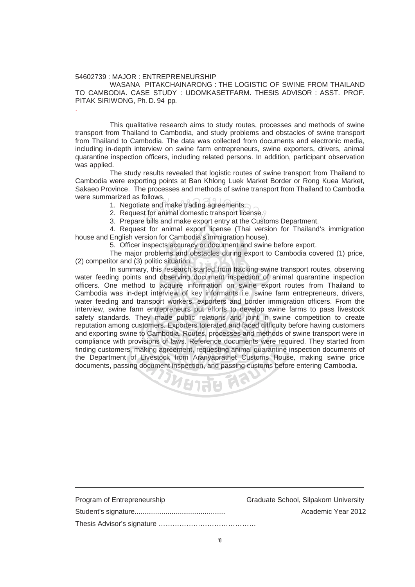## 54602739 : MAJOR : ENTREPRENEURSHIP

.

 WASANA PITAKCHAINARONG : THE LOGISTIC OF SWINE FROM THAILAND TO CAMBODIA. CASE STUDY : UDOMKASETFARM. THESIS ADVISOR : ASST. PROF. PITAK SIRIWONG, Ph. D. 94 pp.

This qualitative research aims to study routes, processes and methods of swine transport from Thailand to Cambodia, and study problems and obstacles of swine transport from Thailand to Cambodia. The data was collected from documents and electronic media, including in-depth interview on swine farm entrepreneurs, swine exporters, drivers, animal quarantine inspection officers, including related persons. In addition, participant observation was applied.

 The study results revealed that logistic routes of swine transport from Thailand to Cambodia were exporting points at Ban Khlong Luek Market Border or Rong Kuea Market, Sakaeo Province. The processes and methods of swine transport from Thailand to Cambodia were summarized as follows.

Franzed as follows.<br>1. Negotiate and make trading agreements.<br>2. Request for animal domestic transport lice<br>3. Prepare bills and make export entry at the

2. Request for animal domestic transport license.<br>2. Request for animal domestic transport license.

3. Prepare bills and make export entry at the Customs Department.

4. Request for animal export license (Thai version for Thailand's immigration house and English version for Cambodia's immigration house).

5. Officer inspects accuracy or document and swine before export.

 The major problems and obstacles during export to Cambodia covered (1) price, (2) competitor and (3) politic situation.

 In summary, this research started from tracking swine transport routes, observing water feeding points and observing document inspection of animal quarantine inspection officers. One method to acquire information on swine export routes from Thailand to Cambodia was in-dept interview of key informants i.e. swine farm entrepreneurs, drivers, water feeding and transport workers, exporters and border immigration officers. From the interview, swine farm entrepreneurs put efforts to develop swine farms to pass livestock safety standards. They made public relations and joint in swine competition to create reputation among customers. Exporters tolerated and faced difficulty before having customers and exporting swine to Cambodia. Routes, processes and methods of swine transport were in compliance with provisions of laws. Reference documents were required. They started from finding customers, making agreement, requesting animal quarantine inspection documents of the Department of Livestock from Aranyaprathet Customs House, making swine price documents, passing document inspection, and passing customs before entering Cambodia.



| Program of Entrepreneurship | Graduate School, Silpakorn University |
|-----------------------------|---------------------------------------|
|                             | Academic Year 2012                    |
|                             |                                       |